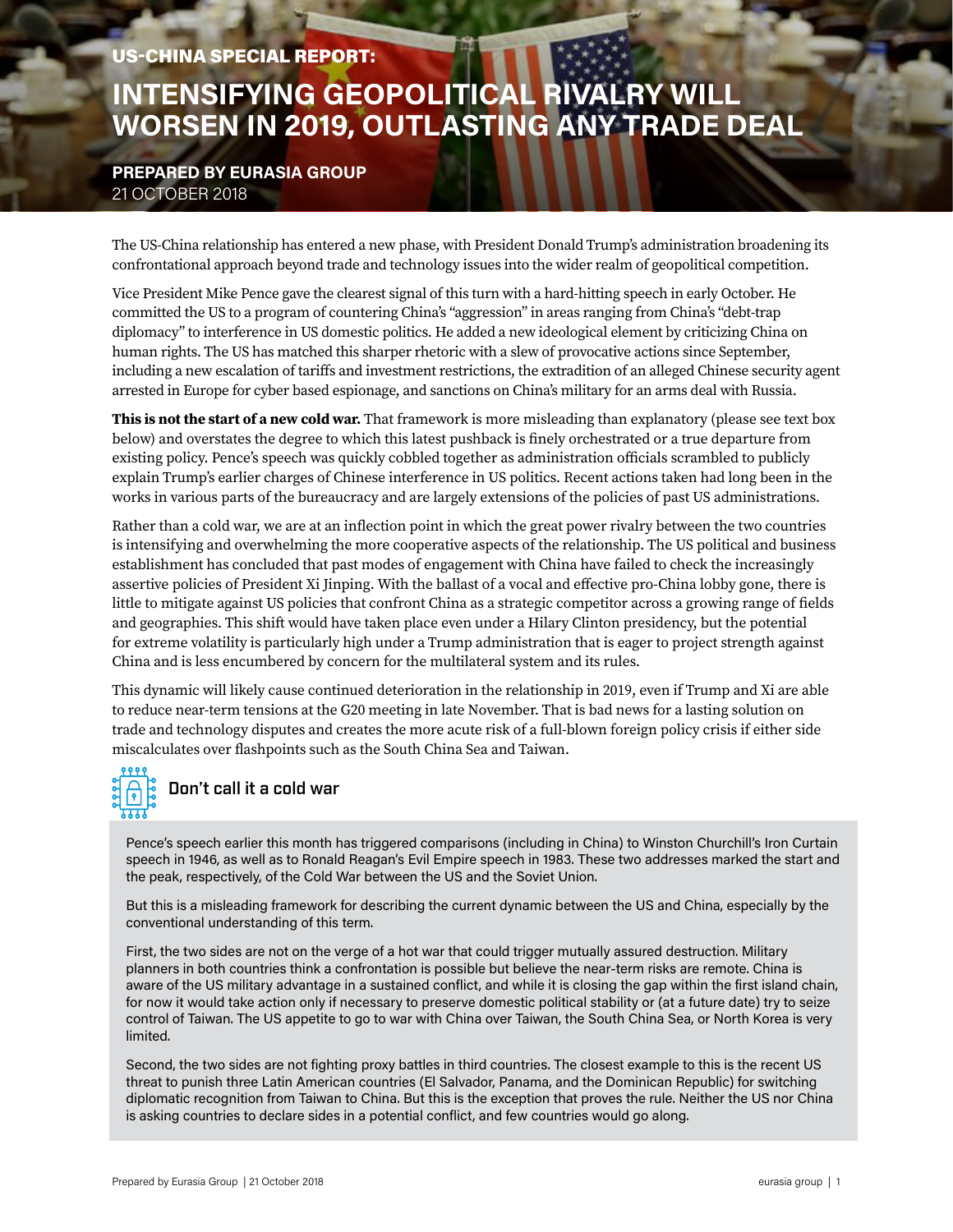#### US-CHINA SPECIAL REPORT:

# **INTENSIFYING GEOPOLITICAL RIVALRY WILL WORSEN IN 2019, OUTLASTING ANY TRADE DEAL**

#### **PREPARED BY EURASIA GROUP** 21 OCTOBER 2018

The US-China relationship has entered a new phase, with President Donald Trump's administration broadening its confrontational approach beyond trade and technology issues into the wider realm of geopolitical competition.

Vice President Mike Pence gave the clearest signal of this turn with a hard-hitting speech in early October. He committed the US to a program of countering China's "aggression" in areas ranging from China's "debt-trap diplomacy" to interference in US domestic politics. He added a new ideological element by criticizing China on human rights. The US has matched this sharper rhetoric with a slew of provocative actions since September, including a new escalation of tariffs and investment restrictions, the extradition of an alleged Chinese security agent arrested in Europe for cyber based espionage, and sanctions on China's military for an arms deal with Russia.

**This is not the start of a new cold war.** That framework is more misleading than explanatory (please see text box below) and overstates the degree to which this latest pushback is finely orchestrated or a true departure from existing policy. Pence's speech was quickly cobbled together as administration officials scrambled to publicly explain Trump's earlier charges of Chinese interference in US politics. Recent actions taken had long been in the works in various parts of the bureaucracy and are largely extensions of the policies of past US administrations.

Rather than a cold war, we are at an inflection point in which the great power rivalry between the two countries is intensifying and overwhelming the more cooperative aspects of the relationship. The US political and business establishment has concluded that past modes of engagement with China have failed to check the increasingly assertive policies of President Xi Jinping. With the ballast of a vocal and effective pro-China lobby gone, there is little to mitigate against US policies that confront China as a strategic competitor across a growing range of fields and geographies. This shift would have taken place even under a Hilary Clinton presidency, but the potential for extreme volatility is particularly high under a Trump administration that is eager to project strength against China and is less encumbered by concern for the multilateral system and its rules.

This dynamic will likely cause continued deterioration in the relationship in 2019, even if Trump and Xi are able to reduce near-term tensions at the G20 meeting in late November. That is bad news for a lasting solution on trade and technology disputes and creates the more acute risk of a full-blown foreign policy crisis if either side miscalculates over flashpoints such as the South China Sea and Taiwan.



Pence's speech earlier this month has triggered comparisons (including in China) to Winston Churchill's Iron Curtain speech in 1946, as well as to Ronald Reagan's Evil Empire speech in 1983. These two addresses marked the start and the peak, respectively, of the Cold War between the US and the Soviet Union.

But this is a misleading framework for describing the current dynamic between the US and China, especially by the conventional understanding of this term.

First, the two sides are not on the verge of a hot war that could trigger mutually assured destruction. Military planners in both countries think a confrontation is possible but believe the near-term risks are remote. China is aware of the US military advantage in a sustained conflict, and while it is closing the gap within the first island chain, for now it would take action only if necessary to preserve domestic political stability or (at a future date) try to seize control of Taiwan. The US appetite to go to war with China over Taiwan, the South China Sea, or North Korea is very limited.

Second, the two sides are not fighting proxy battles in third countries. The closest example to this is the recent US threat to punish three Latin American countries (El Salvador, Panama, and the Dominican Republic) for switching diplomatic recognition from Taiwan to China. But this is the exception that proves the rule. Neither the US nor China is asking countries to declare sides in a potential conflict, and few countries would go along.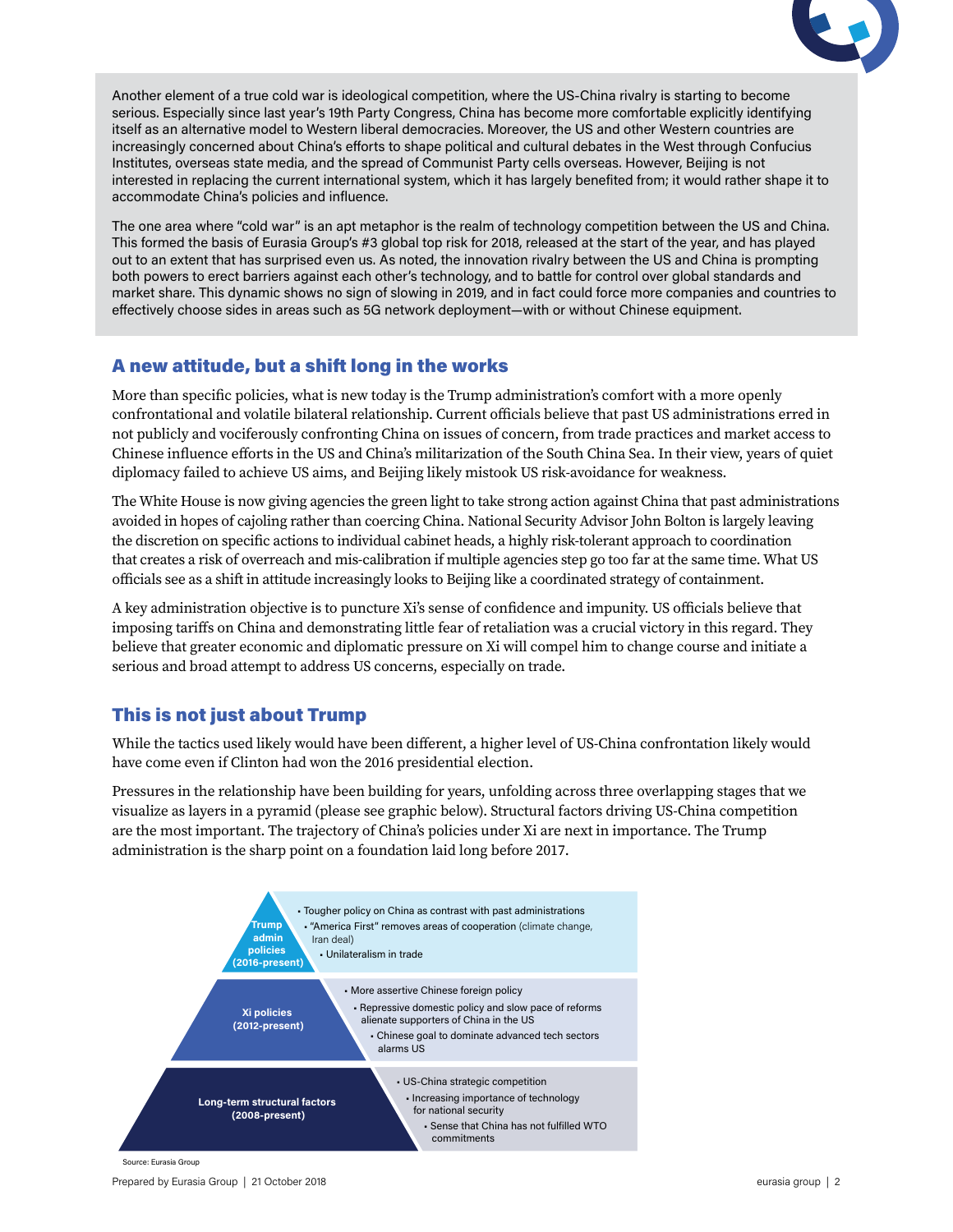

Another element of a true cold war is ideological competition, where the US-China rivalry is starting to become serious. Especially since last year's 19th Party Congress, China has become more comfortable explicitly identifying itself as an alternative model to Western liberal democracies. Moreover, the US and other Western countries are increasingly concerned about China's efforts to shape political and cultural debates in the West through Confucius Institutes, overseas state media, and the spread of Communist Party cells overseas. However, Beijing is not interested in replacing the current international system, which it has largely benefited from; it would rather shape it to accommodate China's policies and influence.

The one area where "cold war" is an apt metaphor is the realm of technology competition between the US and China. This formed the basis of Eurasia Group's #3 global top risk for 2018, released at the start of the year, and has played out to an extent that has surprised even us. As noted, the innovation rivalry between the US and China is prompting both powers to erect barriers against each other's technology, and to battle for control over global standards and market share. This dynamic shows no sign of slowing in 2019, and in fact could force more companies and countries to effectively choose sides in areas such as 5G network deployment—with or without Chinese equipment.

#### A new attitude, but a shift long in the works

More than specific policies, what is new today is the Trump administration's comfort with a more openly confrontational and volatile bilateral relationship. Current officials believe that past US administrations erred in not publicly and vociferously confronting China on issues of concern, from trade practices and market access to Chinese influence efforts in the US and China's militarization of the South China Sea. In their view, years of quiet diplomacy failed to achieve US aims, and Beijing likely mistook US risk-avoidance for weakness.

The White House is now giving agencies the green light to take strong action against China that past administrations avoided in hopes of cajoling rather than coercing China. National Security Advisor John Bolton is largely leaving the discretion on specific actions to individual cabinet heads, a highly risk-tolerant approach to coordination that creates a risk of overreach and mis-calibration if multiple agencies step go too far at the same time. What US officials see as a shift in attitude increasingly looks to Beijing like a coordinated strategy of containment.

A key administration objective is to puncture Xi's sense of confidence and impunity. US officials believe that imposing tariffs on China and demonstrating little fear of retaliation was a crucial victory in this regard. They believe that greater economic and diplomatic pressure on Xi will compel him to change course and initiate a serious and broad attempt to address US concerns, especially on trade.

### This is not just about Trump

While the tactics used likely would have been different, a higher level of US-China confrontation likely would have come even if Clinton had won the 2016 presidential election.

Pressures in the relationship have been building for years, unfolding across three overlapping stages that we visualize as layers in a pyramid (please see graphic below). Structural factors driving US-China competition are the most important. The trajectory of China's policies under Xi are next in importance. The Trump administration is the sharp point on a foundation laid long before 2017.



Source: Eurasia Group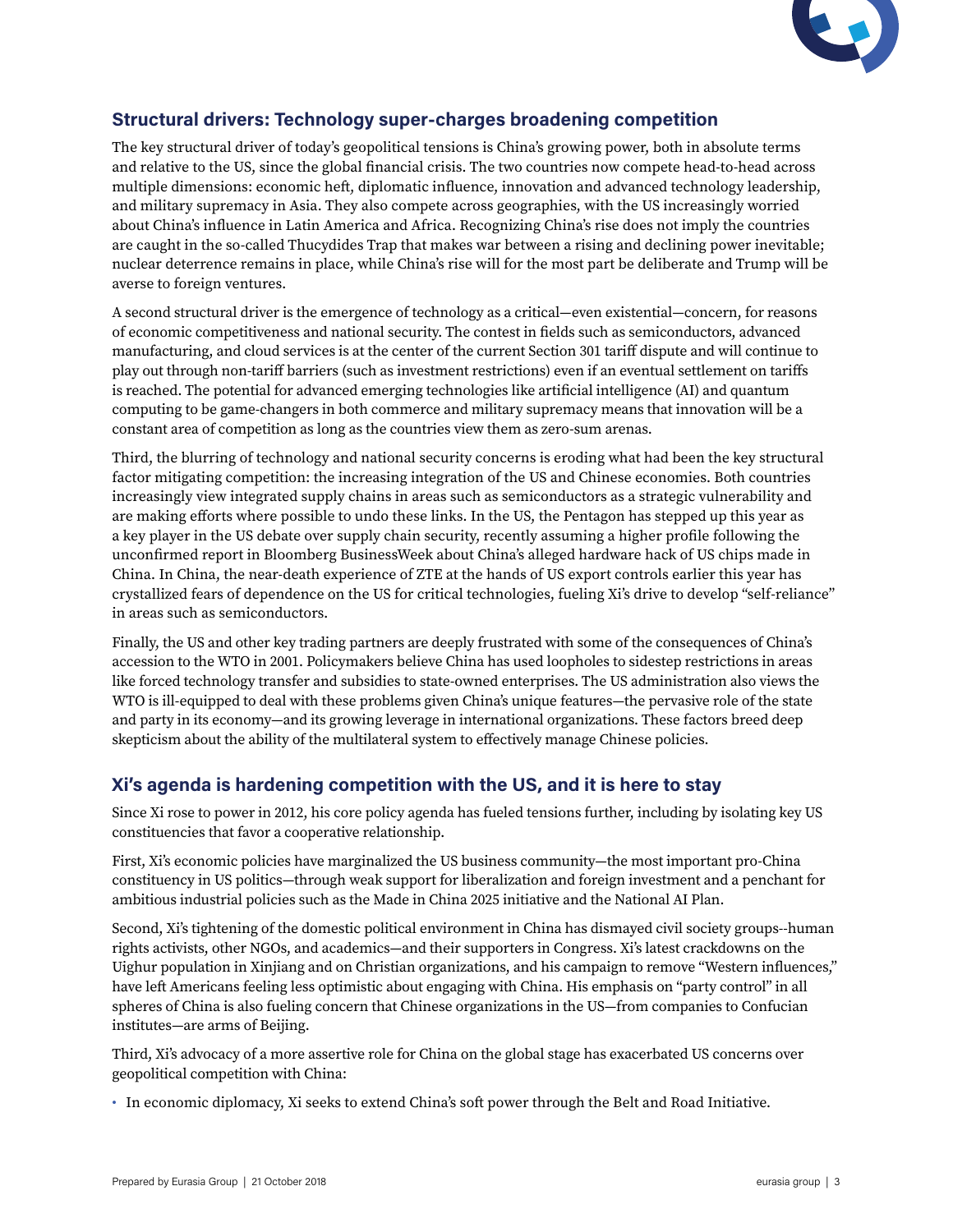

## **Structural drivers: Technology super-charges broadening competition**

The key structural driver of today's geopolitical tensions is China's growing power, both in absolute terms and relative to the US, since the global financial crisis. The two countries now compete head-to-head across multiple dimensions: economic heft, diplomatic influence, innovation and advanced technology leadership, and military supremacy in Asia. They also compete across geographies, with the US increasingly worried about China's influence in Latin America and Africa. Recognizing China's rise does not imply the countries are caught in the so-called Thucydides Trap that makes war between a rising and declining power inevitable; nuclear deterrence remains in place, while China's rise will for the most part be deliberate and Trump will be averse to foreign ventures.

A second structural driver is the emergence of technology as a critical—even existential—concern, for reasons of economic competitiveness and national security. The contest in fields such as semiconductors, advanced manufacturing, and cloud services is at the center of the current Section 301 tariff dispute and will continue to play out through non-tariff barriers (such as investment restrictions) even if an eventual settlement on tariffs is reached. The potential for advanced emerging technologies like artificial intelligence (AI) and quantum computing to be game-changers in both commerce and military supremacy means that innovation will be a constant area of competition as long as the countries view them as zero-sum arenas.

Third, the blurring of technology and national security concerns is eroding what had been the key structural factor mitigating competition: the increasing integration of the US and Chinese economies. Both countries increasingly view integrated supply chains in areas such as semiconductors as a strategic vulnerability and are making efforts where possible to undo these links. In the US, the Pentagon has stepped up this year as a key player in the US debate over supply chain security, recently assuming a higher profile following the unconfirmed report in Bloomberg BusinessWeek about China's alleged hardware hack of US chips made in China. In China, the near-death experience of ZTE at the hands of US export controls earlier this year has crystallized fears of dependence on the US for critical technologies, fueling Xi's drive to develop "self-reliance" in areas such as semiconductors.

Finally, the US and other key trading partners are deeply frustrated with some of the consequences of China's accession to the WTO in 2001. Policymakers believe China has used loopholes to sidestep restrictions in areas like forced technology transfer and subsidies to state-owned enterprises. The US administration also views the WTO is ill-equipped to deal with these problems given China's unique features—the pervasive role of the state and party in its economy—and its growing leverage in international organizations. These factors breed deep skepticism about the ability of the multilateral system to effectively manage Chinese policies.

### **Xi's agenda is hardening competition with the US, and it is here to stay**

Since Xi rose to power in 2012, his core policy agenda has fueled tensions further, including by isolating key US constituencies that favor a cooperative relationship.

First, Xi's economic policies have marginalized the US business community—the most important pro-China constituency in US politics—through weak support for liberalization and foreign investment and a penchant for ambitious industrial policies such as the Made in China 2025 initiative and the National AI Plan.

Second, Xi's tightening of the domestic political environment in China has dismayed civil society groups--human rights activists, other NGOs, and academics—and their supporters in Congress. Xi's latest crackdowns on the Uighur population in Xinjiang and on Christian organizations, and his campaign to remove "Western influences," have left Americans feeling less optimistic about engaging with China. His emphasis on "party control" in all spheres of China is also fueling concern that Chinese organizations in the US—from companies to Confucian institutes—are arms of Beijing.

Third, Xi's advocacy of a more assertive role for China on the global stage has exacerbated US concerns over geopolitical competition with China:

• In economic diplomacy, Xi seeks to extend China's soft power through the Belt and Road Initiative.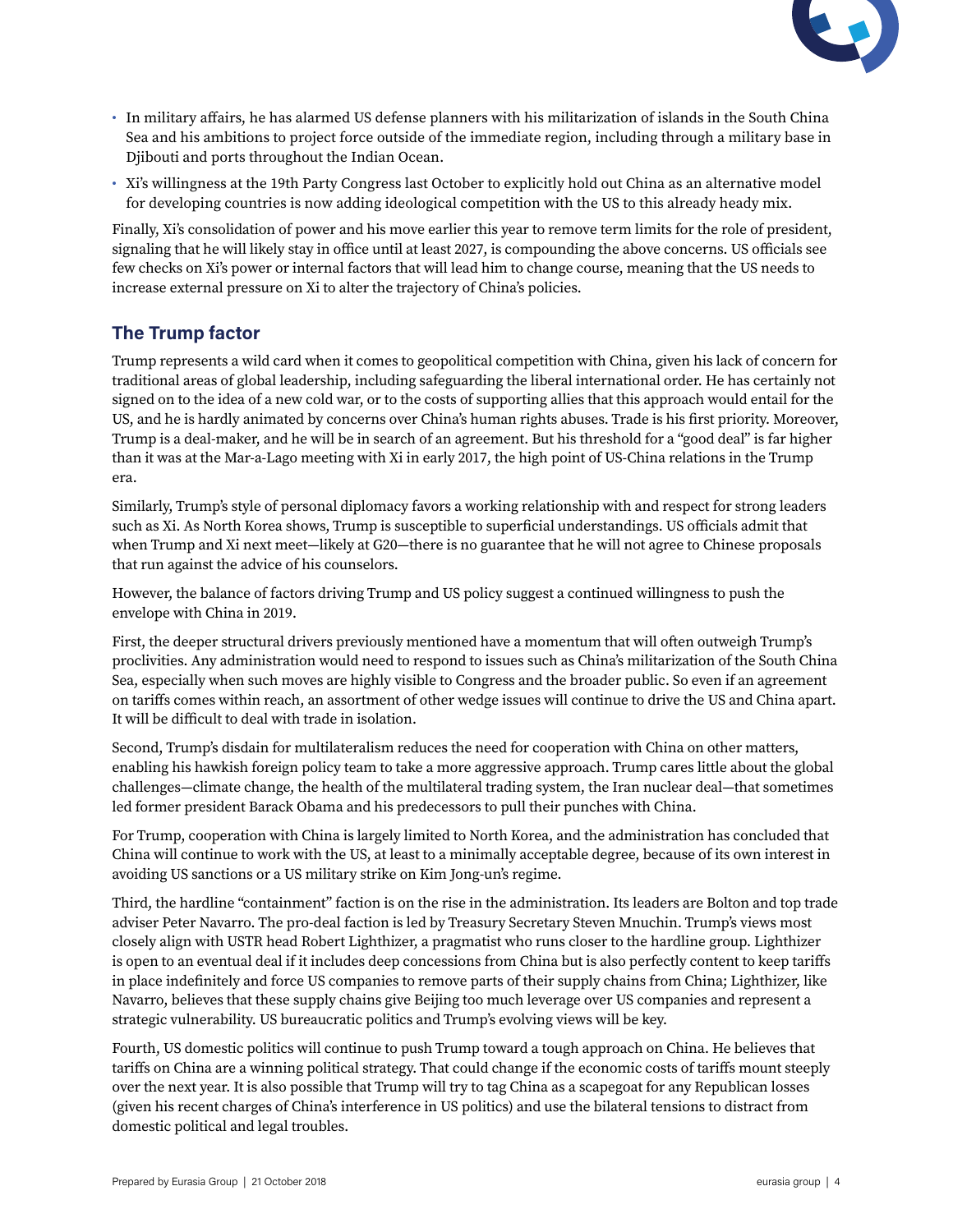

- In military affairs, he has alarmed US defense planners with his militarization of islands in the South China Sea and his ambitions to project force outside of the immediate region, including through a military base in Djibouti and ports throughout the Indian Ocean.
- Xi's willingness at the 19th Party Congress last October to explicitly hold out China as an alternative model for developing countries is now adding ideological competition with the US to this already heady mix.

Finally, Xi's consolidation of power and his move earlier this year to remove term limits for the role of president, signaling that he will likely stay in office until at least 2027, is compounding the above concerns. US officials see few checks on Xi's power or internal factors that will lead him to change course, meaning that the US needs to increase external pressure on Xi to alter the trajectory of China's policies.

#### **The Trump factor**

Trump represents a wild card when it comes to geopolitical competition with China, given his lack of concern for traditional areas of global leadership, including safeguarding the liberal international order. He has certainly not signed on to the idea of a new cold war, or to the costs of supporting allies that this approach would entail for the US, and he is hardly animated by concerns over China's human rights abuses. Trade is his first priority. Moreover, Trump is a deal-maker, and he will be in search of an agreement. But his threshold for a "good deal" is far higher than it was at the Mar-a-Lago meeting with Xi in early 2017, the high point of US-China relations in the Trump era.

Similarly, Trump's style of personal diplomacy favors a working relationship with and respect for strong leaders such as Xi. As North Korea shows, Trump is susceptible to superficial understandings. US officials admit that when Trump and Xi next meet—likely at G20—there is no guarantee that he will not agree to Chinese proposals that run against the advice of his counselors.

However, the balance of factors driving Trump and US policy suggest a continued willingness to push the envelope with China in 2019.

First, the deeper structural drivers previously mentioned have a momentum that will often outweigh Trump's proclivities. Any administration would need to respond to issues such as China's militarization of the South China Sea, especially when such moves are highly visible to Congress and the broader public. So even if an agreement on tariffs comes within reach, an assortment of other wedge issues will continue to drive the US and China apart. It will be difficult to deal with trade in isolation.

Second, Trump's disdain for multilateralism reduces the need for cooperation with China on other matters, enabling his hawkish foreign policy team to take a more aggressive approach. Trump cares little about the global challenges—climate change, the health of the multilateral trading system, the Iran nuclear deal—that sometimes led former president Barack Obama and his predecessors to pull their punches with China.

For Trump, cooperation with China is largely limited to North Korea, and the administration has concluded that China will continue to work with the US, at least to a minimally acceptable degree, because of its own interest in avoiding US sanctions or a US military strike on Kim Jong-un's regime.

Third, the hardline "containment" faction is on the rise in the administration. Its leaders are Bolton and top trade adviser Peter Navarro. The pro-deal faction is led by Treasury Secretary Steven Mnuchin. Trump's views most closely align with USTR head Robert Lighthizer, a pragmatist who runs closer to the hardline group. Lighthizer is open to an eventual deal if it includes deep concessions from China but is also perfectly content to keep tariffs in place indefinitely and force US companies to remove parts of their supply chains from China; Lighthizer, like Navarro, believes that these supply chains give Beijing too much leverage over US companies and represent a strategic vulnerability. US bureaucratic politics and Trump's evolving views will be key.

Fourth, US domestic politics will continue to push Trump toward a tough approach on China. He believes that tariffs on China are a winning political strategy. That could change if the economic costs of tariffs mount steeply over the next year. It is also possible that Trump will try to tag China as a scapegoat for any Republican losses (given his recent charges of China's interference in US politics) and use the bilateral tensions to distract from domestic political and legal troubles.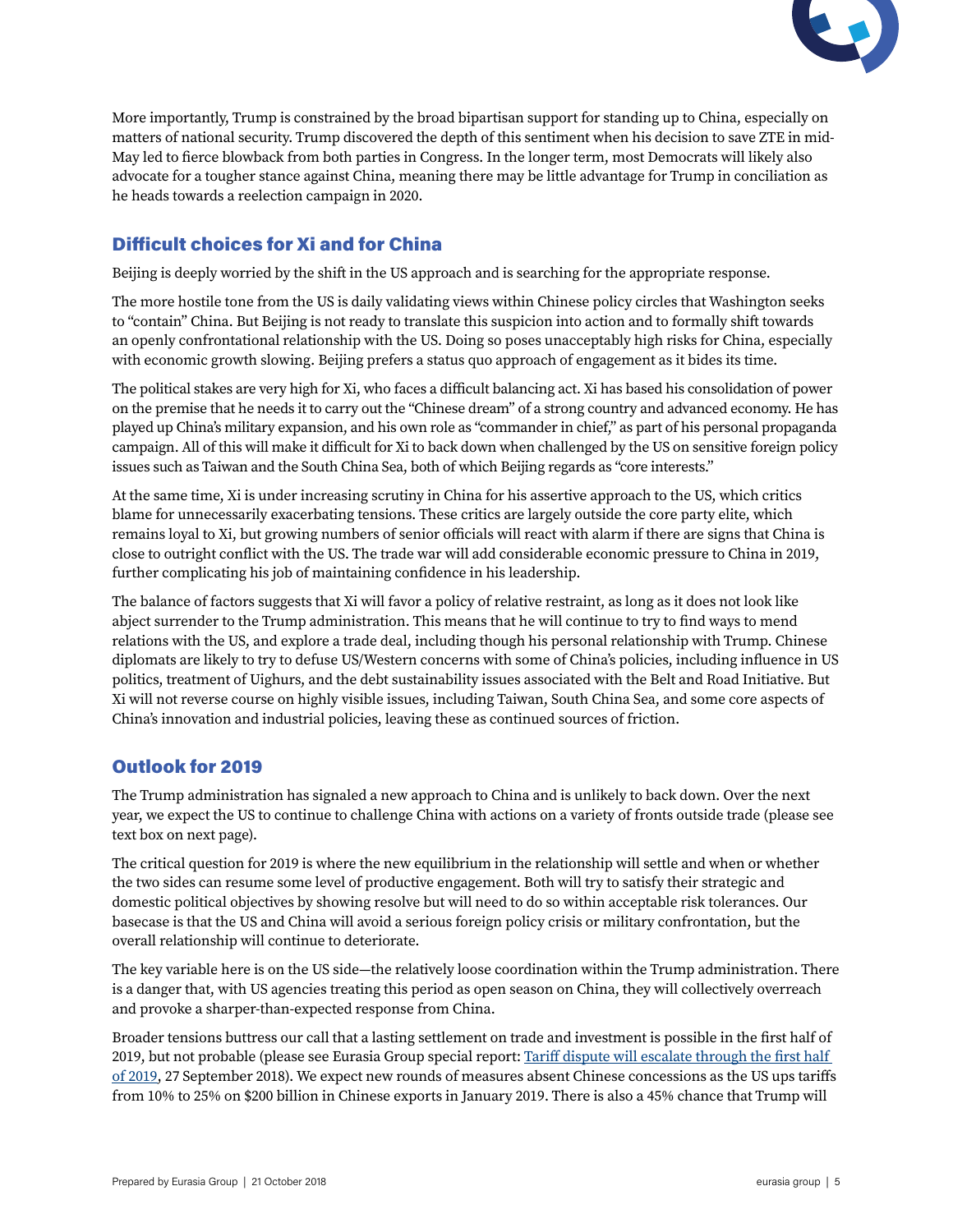

More importantly, Trump is constrained by the broad bipartisan support for standing up to China, especially on matters of national security. Trump discovered the depth of this sentiment when his decision to save ZTE in mid-May led to fierce blowback from both parties in Congress. In the longer term, most Democrats will likely also advocate for a tougher stance against China, meaning there may be little advantage for Trump in conciliation as he heads towards a reelection campaign in 2020.

# Difficult choices for Xi and for China

Beijing is deeply worried by the shift in the US approach and is searching for the appropriate response.

The more hostile tone from the US is daily validating views within Chinese policy circles that Washington seeks to "contain" China. But Beijing is not ready to translate this suspicion into action and to formally shift towards an openly confrontational relationship with the US. Doing so poses unacceptably high risks for China, especially with economic growth slowing. Beijing prefers a status quo approach of engagement as it bides its time.

The political stakes are very high for Xi, who faces a difficult balancing act. Xi has based his consolidation of power on the premise that he needs it to carry out the "Chinese dream" of a strong country and advanced economy. He has played up China's military expansion, and his own role as "commander in chief," as part of his personal propaganda campaign. All of this will make it difficult for Xi to back down when challenged by the US on sensitive foreign policy issues such as Taiwan and the South China Sea, both of which Beijing regards as "core interests."

At the same time, Xi is under increasing scrutiny in China for his assertive approach to the US, which critics blame for unnecessarily exacerbating tensions. These critics are largely outside the core party elite, which remains loyal to Xi, but growing numbers of senior officials will react with alarm if there are signs that China is close to outright conflict with the US. The trade war will add considerable economic pressure to China in 2019, further complicating his job of maintaining confidence in his leadership.

The balance of factors suggests that Xi will favor a policy of relative restraint, as long as it does not look like abject surrender to the Trump administration. This means that he will continue to try to find ways to mend relations with the US, and explore a trade deal, including though his personal relationship with Trump. Chinese diplomats are likely to try to defuse US/Western concerns with some of China's policies, including influence in US politics, treatment of Uighurs, and the debt sustainability issues associated with the Belt and Road Initiative. But Xi will not reverse course on highly visible issues, including Taiwan, South China Sea, and some core aspects of China's innovation and industrial policies, leaving these as continued sources of friction.

### Outlook for 2019

The Trump administration has signaled a new approach to China and is unlikely to back down. Over the next year, we expect the US to continue to challenge China with actions on a variety of fronts outside trade (please see text box on next page).

The critical question for 2019 is where the new equilibrium in the relationship will settle and when or whether the two sides can resume some level of productive engagement. Both will try to satisfy their strategic and domestic political objectives by showing resolve but will need to do so within acceptable risk tolerances. Our basecase is that the US and China will avoid a serious foreign policy crisis or military confrontation, but the overall relationship will continue to deteriorate.

The key variable here is on the US side—the relatively loose coordination within the Trump administration. There is a danger that, with US agencies treating this period as open season on China, they will collectively overreach and provoke a sharper-than-expected response from China.

Broader tensions buttress our call that a lasting settlement on trade and investment is possible in the first half of 2019, but not probable (please see Eurasia Group special report: Tariff dispute will escalate through the first half [of 2019](https://eurasiagroup.sharepoint.com/sites/EGClientPortal/PublishingImages/Pages/Admin/Publishing-Console/1809 US China Special Report FINAL.pdf), 27 September 2018). We expect new rounds of measures absent Chinese concessions as the US ups tariffs from 10% to 25% on \$200 billion in Chinese exports in January 2019. There is also a 45% chance that Trump will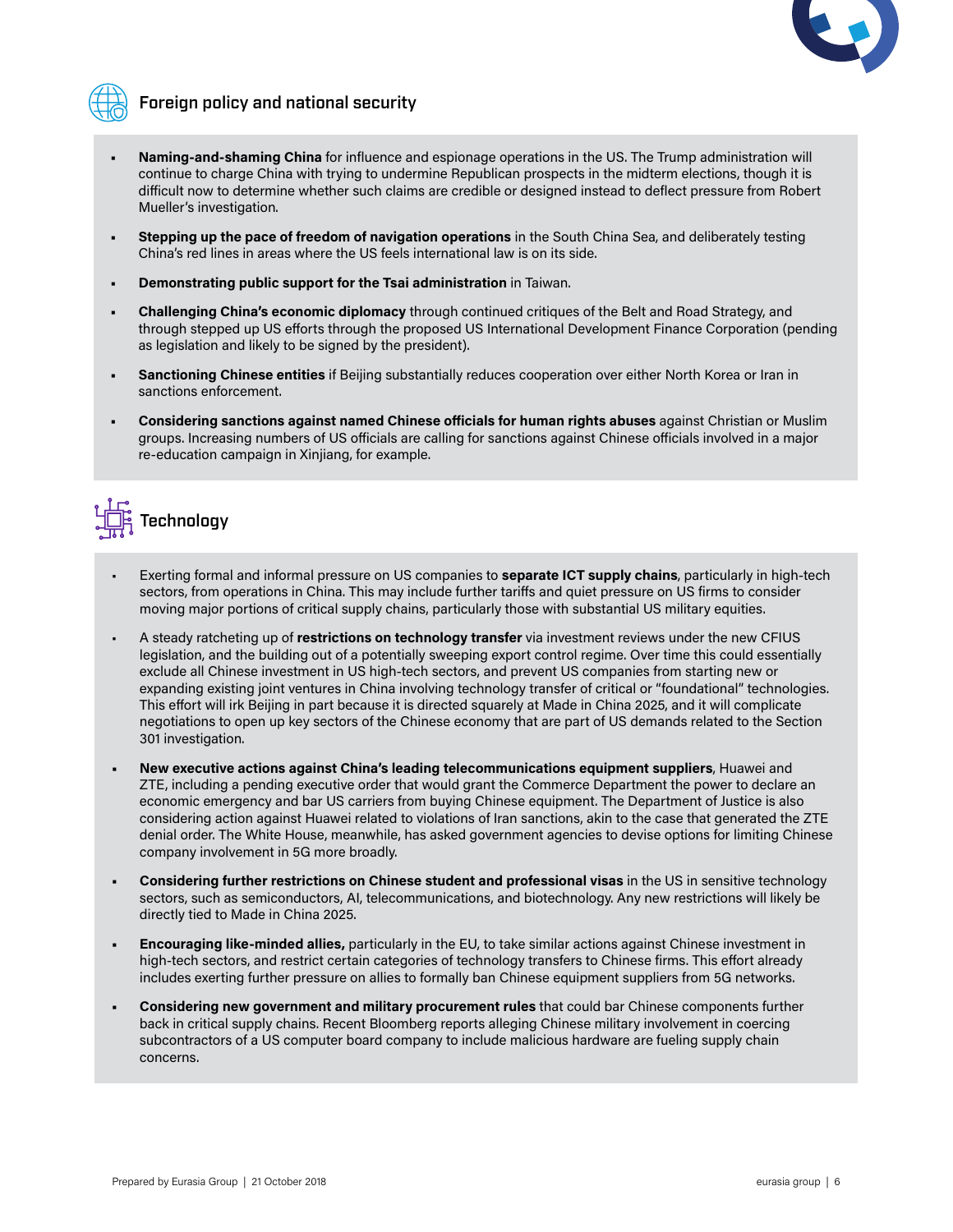

# Foreign policy and national security

- **• Naming-and-shaming China** for influence and espionage operations in the US. The Trump administration will continue to charge China with trying to undermine Republican prospects in the midterm elections, though it is difficult now to determine whether such claims are credible or designed instead to deflect pressure from Robert Mueller's investigation.
- **• Stepping up the pace of freedom of navigation operations** in the South China Sea, and deliberately testing China's red lines in areas where the US feels international law is on its side.
- **• Demonstrating public support for the Tsai administration** in Taiwan.
- **• Challenging China's economic diplomacy** through continued critiques of the Belt and Road Strategy, and through stepped up US efforts through the proposed US International Development Finance Corporation (pending as legislation and likely to be signed by the president).
- **• Sanctioning Chinese entities** if Beijing substantially reduces cooperation over either North Korea or Iran in sanctions enforcement.
- **• Considering sanctions against named Chinese officials for human rights abuses** against Christian or Muslim groups. Increasing numbers of US officials are calling for sanctions against Chinese officials involved in a major re-education campaign in Xinjiang, for example.



- Exerting formal and informal pressure on US companies to **separate ICT supply chains**, particularly in high-tech sectors, from operations in China. This may include further tariffs and quiet pressure on US firms to consider moving major portions of critical supply chains, particularly those with substantial US military equities.
- A steady ratcheting up of **restrictions on technology transfer** via investment reviews under the new CFIUS legislation, and the building out of a potentially sweeping export control regime. Over time this could essentially exclude all Chinese investment in US high-tech sectors, and prevent US companies from starting new or expanding existing joint ventures in China involving technology transfer of critical or "foundational" technologies. This effort will irk Beijing in part because it is directed squarely at Made in China 2025, and it will complicate negotiations to open up key sectors of the Chinese economy that are part of US demands related to the Section 301 investigation.
- **• New executive actions against China's leading telecommunications equipment suppliers**, Huawei and ZTE, including a pending executive order that would grant the Commerce Department the power to declare an economic emergency and bar US carriers from buying Chinese equipment. The Department of Justice is also considering action against Huawei related to violations of Iran sanctions, akin to the case that generated the ZTE denial order. The White House, meanwhile, has asked government agencies to devise options for limiting Chinese company involvement in 5G more broadly.
- **• Considering further restrictions on Chinese student and professional visas** in the US in sensitive technology sectors, such as semiconductors, AI, telecommunications, and biotechnology. Any new restrictions will likely be directly tied to Made in China 2025.
- **• Encouraging like-minded allies,** particularly in the EU, to take similar actions against Chinese investment in high-tech sectors, and restrict certain categories of technology transfers to Chinese firms. This effort already includes exerting further pressure on allies to formally ban Chinese equipment suppliers from 5G networks.
- **• Considering new government and military procurement rules** that could bar Chinese components further back in critical supply chains. Recent Bloomberg reports alleging Chinese military involvement in coercing subcontractors of a US computer board company to include malicious hardware are fueling supply chain concerns.